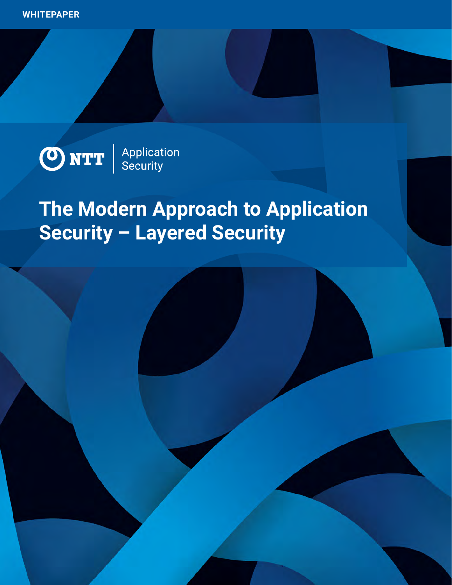

# **The Modern Approach to Application Security – Layered Security**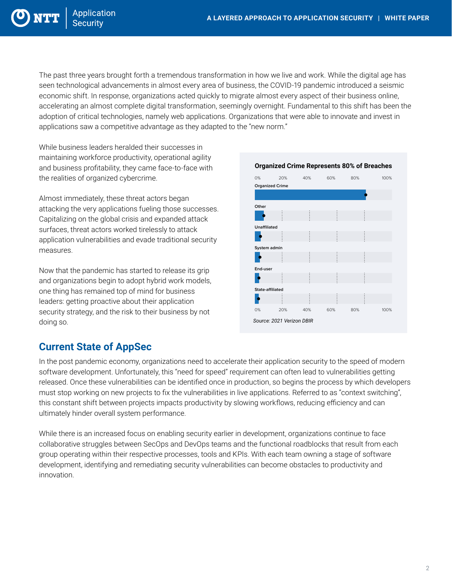**Application** Securitv

> The past three years brought forth a tremendous transformation in how we live and work. While the digital age has seen technological advancements in almost every area of business, the COVID-19 pandemic introduced a seismic economic shift. In response, organizations acted quickly to migrate almost every aspect of their business online, accelerating an almost complete digital transformation, seemingly overnight. Fundamental to this shift has been the adoption of critical technologies, namely web applications. Organizations that were able to innovate and invest in applications saw a competitive advantage as they adapted to the "new norm."

While business leaders heralded their successes in maintaining workforce productivity, operational agility and business profitability, they came face-to-face with the realities of organized cybercrime.

Almost immediately, these threat actors began attacking the very applications fueling those successes. Capitalizing on the global crisis and expanded attack surfaces, threat actors worked tirelessly to attack application vulnerabilities and evade traditional security measures.

Now that the pandemic has started to release its grip and organizations begin to adopt hybrid work models, one thing has remained top of mind for business leaders: getting proactive about their application security strategy, and the risk to their business by not doing so.



### **Current State of AppSec**

In the post pandemic economy, organizations need to accelerate their application security to the speed of modern software development. Unfortunately, this "need for speed" requirement can often lead to vulnerabilities getting released. Once these vulnerabilities can be identified once in production, so begins the process by which developers must stop working on new projects to fix the vulnerabilities in live applications. Referred to as "context switching", this constant shift between projects impacts productivity by slowing workflows, reducing efficiency and can ultimately hinder overall system performance.

While there is an increased focus on enabling security earlier in development, organizations continue to face collaborative struggles between SecOps and DevOps teams and the functional roadblocks that result from each group operating within their respective processes, tools and KPIs. With each team owning a stage of software development, identifying and remediating security vulnerabilities can become obstacles to productivity and innovation.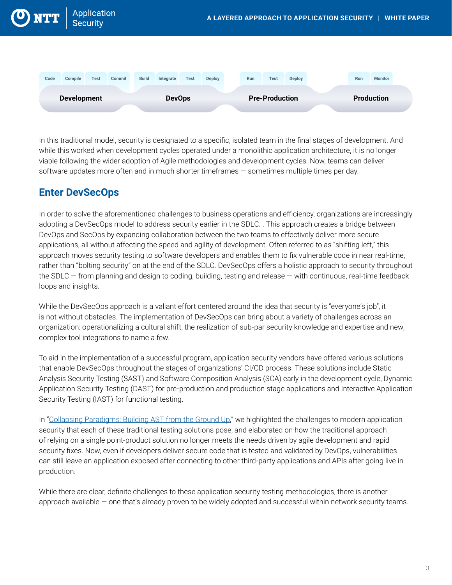

In this traditional model, security is designated to a specific, isolated team in the final stages of development. And while this worked when development cycles operated under a monolithic application architecture, it is no longer viable following the wider adoption of Agile methodologies and development cycles. Now, teams can deliver software updates more often and in much shorter timeframes — sometimes multiple times per day.

# **Enter DevSecOps**

In order to solve the aforementioned challenges to business operations and efficiency, organizations are increasingly adopting a DevSecOps model to address security earlier in the SDLC. . This approach creates a bridge between DevOps and SecOps by expanding collaboration between the two teams to effectively deliver more secure applications, all without affecting the speed and agility of development. Often referred to as "shifting left," this approach moves security testing to software developers and enables them to fix vulnerable code in near real-time, rather than "bolting security" on at the end of the SDLC. DevSecOps offers a holistic approach to security throughout the SDLC — from planning and design to coding, building, testing and release — with continuous, real-time feedback loops and insights.

While the DevSecOps approach is a valiant effort centered around the idea that security is "everyone's job", it is not without obstacles. The implementation of DevSecOps can bring about a variety of challenges across an organization: operationalizing a cultural shift, the realization of sub-par security knowledge and expertise and new, complex tool integrations to name a few.

To aid in the implementation of a successful program, application security vendors have offered various solutions that enable DevSecOps throughout the stages of organizations' CI/CD process. These solutions include Static Analysis Security Testing (SAST) and Software Composition Analysis (SCA) early in the development cycle, Dynamic Application Security Testing (DAST) for pre-production and production stage applications and Interactive Application Security Testing (IAST) for functional testing.

In ["Collapsing Paradigms: Building AST from the Ground Up,](https://www.whitehatsec.com/wp-content/uploads/2022/03/WP-Vantage-Platform-Positioning-.pdf)" we highlighted the challenges to modern application security that each of these traditional testing solutions pose, and elaborated on how the traditional approach of relying on a single point-product solution no longer meets the needs driven by agile development and rapid security fixes. Now, even if developers deliver secure code that is tested and validated by DevOps, vulnerabilities can still leave an application exposed after connecting to other third-party applications and APIs after going live in production.

While there are clear, definite challenges to these application security testing methodologies, there is another approach available — one that's already proven to be widely adopted and successful within network security teams.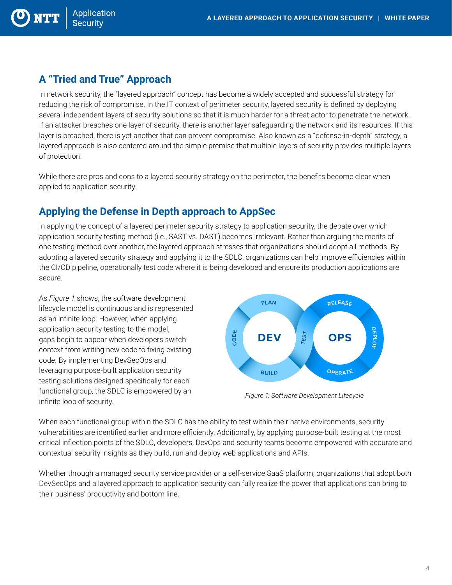

## **A "Tried and True" Approach**

In network security, the "layered approach" concept has become a widely accepted and successful strategy for reducing the risk of compromise. In the IT context of perimeter security, layered security is defined by deploying several independent layers of security solutions so that it is much harder for a threat actor to penetrate the network. If an attacker breaches one layer of security, there is another layer safeguarding the network and its resources. If this layer is breached, there is yet another that can prevent compromise. Also known as a "defense-in-depth" strategy, a layered approach is also centered around the simple premise that multiple layers of security provides multiple layers of protection.

While there are pros and cons to a layered security strategy on the perimeter, the benefits become clear when applied to application security.

#### **Applying the Defense in Depth approach to AppSec**

In applying the concept of a layered perimeter security strategy to application security, the debate over which application security testing method (i.e., SAST vs. DAST) becomes irrelevant. Rather than arguing the merits of one testing method over another, the layered approach stresses that organizations should adopt all methods. By adopting a layered security strategy and applying it to the SDLC, organizations can help improve efficiencies within the CI/CD pipeline, operationally test code where it is being developed and ensure its production applications are secure.

As *Figure 1* shows, the software development lifecycle model is continuous and is represented as an infinite loop. However, when applying application security testing to the model, gaps begin to appear when developers switch context from writing new code to fixing existing code. By implementing DevSecOps and leveraging purpose-built application security testing solutions designed specifically for each functional group, the SDLC is empowered by an infinite loop of security.



*Figure 1: Software Development Lifecycle*

When each functional group within the SDLC has the ability to test within their native environments, security vulnerabilities are identified earlier and more efficiently. Additionally, by applying purpose-built testing at the most critical inflection points of the SDLC, developers, DevOps and security teams become empowered with accurate and contextual security insights as they build, run and deploy web applications and APIs.

Whether through a managed security service provider or a self-service SaaS platform, organizations that adopt both DevSecOps and a layered approach to application security can fully realize the power that applications can bring to their business' productivity and bottom line.